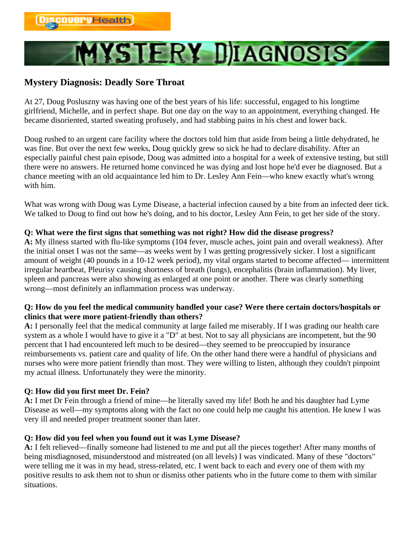# **MYSTERY DIAGNOSIS**

## **Mystery Diagnosis: Deadly Sore Throat**

At 27, Doug Posluszny was having one of the best years of his life: successful, engaged to his longtime girlfriend, Michelle, and in perfect shape. But one day on the way to an appointment, everything changed. He became disoriented, started sweating profusely, and had stabbing pains in his chest and lower back.

Doug rushed to an urgent care facility where the doctors told him that aside from being a little dehydrated, he was fine. But over the next few weeks, Doug quickly grew so sick he had to declare disability. After an especially painful chest pain episode, Doug was admitted into a hospital for a week of extensive testing, but still there were no answers. He returned home convinced he was dying and lost hope he'd ever be diagnosed. But a chance meeting with an old acquaintance led him to Dr. Lesley Ann Fein—who knew exactly what's wrong with him.

What was wrong with Doug was Lyme Disease, a bacterial infection caused by a bite from an infected deer tick. We talked to Doug to find out how he's doing, and to his doctor, Lesley Ann Fein, to get her side of the story.

### **Q: What were the first signs that something was not right? How did the disease progress?**

**A:** My illness started with flu-like symptoms (104 fever, muscle aches, joint pain and overall weakness). After the initial onset I was not the same—as weeks went by I was getting progressively sicker. I lost a significant amount of weight (40 pounds in a 10-12 week period), my vital organs started to become affected— intermittent irregular heartbeat, Pleurisy causing shortness of breath (lungs), encephalitis (brain inflammation). My liver, spleen and pancreas were also showing as enlarged at one point or another. There was clearly something wrong—most definitely an inflammation process was underway.

### **Q: How do you feel the medical community handled your case? Were there certain doctors/hospitals or clinics that were more patient-friendly than others?**

**A:** I personally feel that the medical community at large failed me miserably. If I was grading our health care system as a whole I would have to give it a "D" at best. Not to say all physicians are incompetent, but the 90 percent that I had encountered left much to be desired—they seemed to be preoccupied by insurance reimbursements vs. patient care and quality of life. On the other hand there were a handful of physicians and nurses who were more patient friendly than most. They were willing to listen, although they couldn't pinpoint my actual illness. Unfortunately they were the minority.

### **Q: How did you first meet Dr. Fein?**

**A:** I met Dr Fein through a friend of mine—he literally saved my life! Both he and his daughter had Lyme Disease as well—my symptoms along with the fact no one could help me caught his attention. He knew I was very ill and needed proper treatment sooner than later.

### **Q: How did you feel when you found out it was Lyme Disease?**

**A:** I felt relieved—finally someone had listened to me and put all the pieces together! After many months of being misdiagnosed, misunderstood and mistreated (on all levels) I was vindicated. Many of these "doctors" were telling me it was in my head, stress-related, etc. I went back to each and every one of them with my positive results to ask them not to shun or dismiss other patients who in the future come to them with similar situations.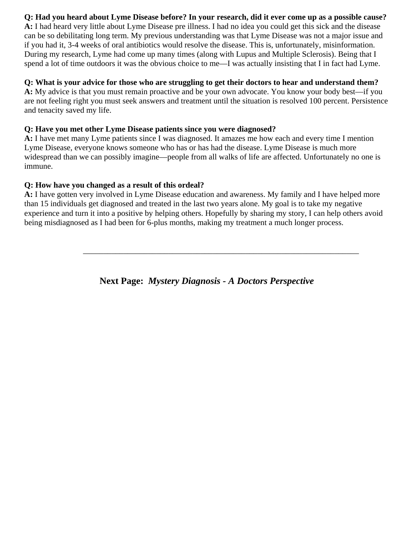### **Q: Had you heard about Lyme Disease before? In your research, did it ever come up as a possible cause?**

**A:** I had heard very little about Lyme Disease pre illness. I had no idea you could get this sick and the disease can be so debilitating long term. My previous understanding was that Lyme Disease was not a major issue and if you had it, 3-4 weeks of oral antibiotics would resolve the disease. This is, unfortunately, misinformation. During my research, Lyme had come up many times (along with Lupus and Multiple Sclerosis). Being that I spend a lot of time outdoors it was the obvious choice to me—I was actually insisting that I in fact had Lyme.

### **Q: What is your advice for those who are struggling to get their doctors to hear and understand them?**

**A:** My advice is that you must remain proactive and be your own advocate. You know your body best—if you are not feeling right you must seek answers and treatment until the situation is resolved 100 percent. Persistence and tenacity saved my life.

### **Q: Have you met other Lyme Disease patients since you were diagnosed?**

**A:** I have met many Lyme patients since I was diagnosed. It amazes me how each and every time I mention Lyme Disease, everyone knows someone who has or has had the disease. Lyme Disease is much more widespread than we can possibly imagine—people from all walks of life are affected. Unfortunately no one is immune.

### **Q: How have you changed as a result of this ordeal?**

**A:** I have gotten very involved in Lyme Disease education and awareness. My family and I have helped more than 15 individuals get diagnosed and treated in the last two years alone. My goal is to take my negative experience and turn it into a positive by helping others. Hopefully by sharing my story, I can help others avoid being misdiagnosed as I had been for 6-plus months, making my treatment a much longer process.

 $\overline{\phantom{a}}$  ,  $\overline{\phantom{a}}$  ,  $\overline{\phantom{a}}$  ,  $\overline{\phantom{a}}$  ,  $\overline{\phantom{a}}$  ,  $\overline{\phantom{a}}$  ,  $\overline{\phantom{a}}$  ,  $\overline{\phantom{a}}$  ,  $\overline{\phantom{a}}$  ,  $\overline{\phantom{a}}$  ,  $\overline{\phantom{a}}$  ,  $\overline{\phantom{a}}$  ,  $\overline{\phantom{a}}$  ,  $\overline{\phantom{a}}$  ,  $\overline{\phantom{a}}$  ,  $\overline{\phantom{a}}$ 

**Next Page:** *Mystery Diagnosis - A Doctors Perspective*